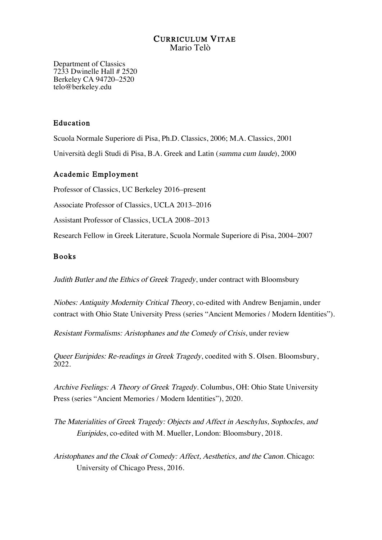# CURRICULUM VITAE Mario Telò

Department of Classics 7233 Dwinelle Hall # 2520 Berkeley CA 94720–2520 telo@berkeley.edu

### Education

Scuola Normale Superiore di Pisa, Ph.D. Classics, 2006; M.A. Classics, 2001 Università degli Studi di Pisa, B.A. Greek and Latin (summa cum laude), 2000

### Academic Employment

Professor of Classics, UC Berkeley 2016–present

Associate Professor of Classics, UCLA 2013–2016

Assistant Professor of Classics, UCLA 2008–2013

Research Fellow in Greek Literature, Scuola Normale Superiore di Pisa, 2004–2007

## Books

Judith Butler and the Ethics of Greek Tragedy, under contract with Bloomsbury

Niobes: Antiquity Modernity Critical Theory, co-edited with Andrew Benjamin, under contract with Ohio State University Press (series "Ancient Memories / Modern Identities").

Resistant Formalisms: Aristophanes and the Comedy of Crisis, under review

Queer Euripides: Re-readings in Greek Tragedy, coedited with S. Olsen. Bloomsbury, 2022.

Archive Feelings: A Theory of Greek Tragedy. Columbus, OH: Ohio State University Press (series "Ancient Memories / Modern Identities"), 2020.

The Materialities of Greek Tragedy: Objects and Affect in Aeschylus, Sophocles, and Euripides, co-edited with M. Mueller, London: Bloomsbury, 2018.

Aristophanes and the Cloak of Comedy: Affect, Aesthetics, and the Canon. Chicago: University of Chicago Press, 2016.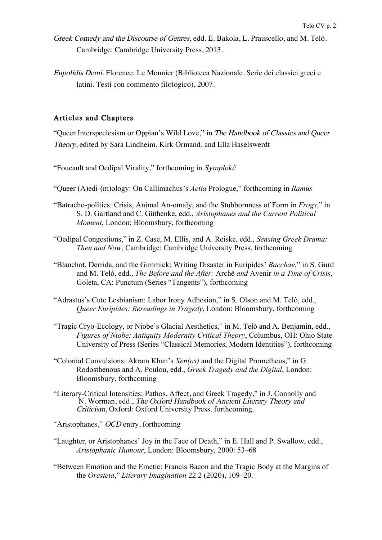- Greek Comedy and the Discourse of Genres, edd. E. Bakola, L. Prauscello, and M. Telò. Cambridge: Cambridge University Press, 2013.
- Eupolidis Demi. Florence: Le Monnier (Biblioteca Nazionale. Serie dei classici greci e latini. Testi con commento filologico), 2007.

## Articles and Chapters

"Queer Interspeciesism or Oppian's Wild Love," in The Handbook of Classics and Queer Theory, edited by Sara Lindheim, Kirk Ormand, and Ella Haselswerdt

- "Foucault and Oedipal Virality," forthcoming in Symplokê
- "Queer (A)edi-(m)ology: On Callimachus's *Aetia* Prologue," forthcoming in *Ramus*
- "Batracho-politics: Crisis, Animal An-omaly, and the Stubbornness of Form in *Frogs*," in S. D. Gartland and C. Güthenke, edd., *Aristophanes and the Current Political Moment*, London: Bloomsbury, forthcoming
- "Oedipal Congestions," in Z. Case, M. Ellis, and A. Reiske, edd., *Sensing Greek Drama: Then and Now*, Cambridge: Cambridge University Press, forthcoming
- "Blanchot, Derrida, and the Gimmick: Writing Disaster in Euripides' *Bacchae*," in S. Gurd and M. Telò, edd., *The Before and the After:* Archê *and* Avenir *in a Time of Crisis*, Goleta, CA: Punctum (Series "Tangents"), forthcoming
- "Adrastus's Cute Lesbianism: Labor Irony Adhesion," in S. Olson and M. Telò, edd., *Queer Euripides: Rereadings in Tragedy*, London: Bloomsbury, forthcoming
- "Tragic Cryo-Ecology, or Niobe's Glacial Aesthetics," in M. Telò and A. Benjamin, edd., *Figures of Niobe: Antiquity Modernity Critical Theory*, Columbus, OH: Ohio State University of Press (Series "Classical Memories, Modern Identities"), forthcoming
- "Colonial Convulsions: Akram Khan's *Xen(os)* and the Digital Prometheus," in G. Rodosthenous and A. Poulou, edd., *Greek Tragedy and the Digital*, London: Bloomsbury, forthcoming
- "Literary-Critical Intensities: Pathos, Affect, and Greek Tragedy," in J. Connolly and N. Worman, edd., The Oxford Handbook of Ancient Literary Theory and Criticism, Oxford: Oxford University Press, forthcoming.
- "Aristophanes," OCD entry, forthcoming
- "Laughter, or Aristophanes' Joy in the Face of Death," in E. Hall and P. Swallow, edd., *Aristophanic Humour*, London: Bloomsbury, 2000: 53–68
- "Between Emotion and the Emetic: Francis Bacon and the Tragic Body at the Margins of the *Oresteia*," *Literary Imagination* 22.2 (2020), 109–20.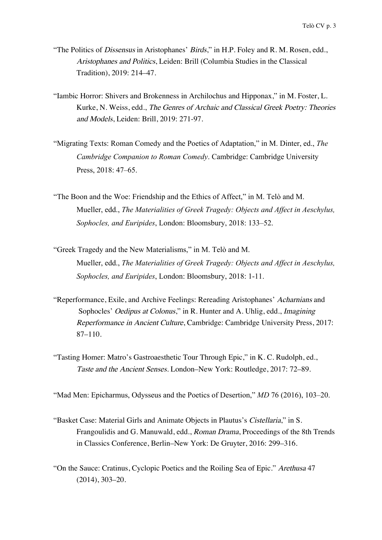- "The Politics of *Dissensus* in Aristophanes' *Birds*," in H.P. Foley and R. M. Rosen, edd., Aristophanes and Politics, Leiden: Brill (Columbia Studies in the Classical Tradition), 2019: 214–47.
- "Iambic Horror: Shivers and Brokenness in Archilochus and Hipponax," in M. Foster, L. Kurke, N. Weiss, edd., The Genres of Archaic and Classical Greek Poetry: Theories and Models, Leiden: Brill, 2019: 271-97.
- "Migrating Texts: Roman Comedy and the Poetics of Adaptation," in M. Dinter, ed., *The Cambridge Companion to Roman Comedy*. Cambridge: Cambridge University Press, 2018: 47–65.
- "The Boon and the Woe: Friendship and the Ethics of Affect," in M. Telò and M. Mueller, edd., *The Materialities of Greek Tragedy: Objects and Affect in Aeschylus, Sophocles, and Euripides*, London: Bloomsbury, 2018: 133–52.
- "Greek Tragedy and the New Materialisms," in M. Telò and M. Mueller, edd., *The Materialities of Greek Tragedy: Objects and Affect in Aeschylus, Sophocles, and Euripides*, London: Bloomsbury, 2018: 1-11.
- "Reperformance, Exile, and Archive Feelings: Rereading Aristophanes' Acharnians and Sophocles' Oedipus at Colonus," in R. Hunter and A. Uhlig, edd., Imagining Reperformance in Ancient Culture, Cambridge: Cambridge University Press, 2017: 87–110.
- "Tasting Homer: Matro's Gastroaesthetic Tour Through Epic," in K. C. Rudolph, ed., Taste and the Ancient Senses. London–New York: Routledge, 2017: 72–89.

"Mad Men: Epicharmus, Odysseus and the Poetics of Desertion," *MD* 76 (2016), 103–20.

- "Basket Case: Material Girls and Animate Objects in Plautus's Cistellaria," in S. Frangoulidis and G. Manuwald, edd., Roman Drama, Proceedings of the 8th Trends in Classics Conference, Berlin–New York: De Gruyter, 2016: 299–316.
- "On the Sauce: Cratinus, Cyclopic Poetics and the Roiling Sea of Epic." Arethusa 47 (2014), 303–20.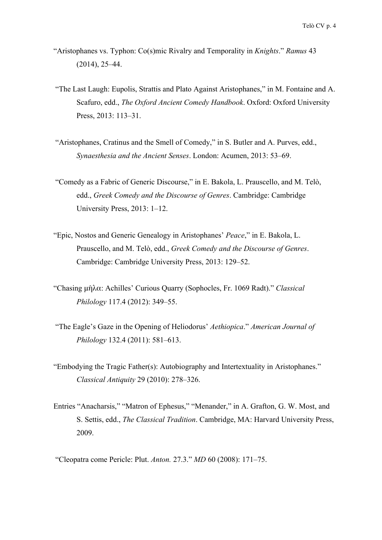- "Aristophanes vs. Typhon: Co(s)mic Rivalry and Temporality in *Knights*." *Ramus* 43 (2014), 25–44.
- "The Last Laugh: Eupolis, Strattis and Plato Against Aristophanes," in M. Fontaine and A. Scafuro, edd., *The Oxford Ancient Comedy Handbook*. Oxford: Oxford University Press, 2013: 113–31.
- "Aristophanes, Cratinus and the Smell of Comedy," in S. Butler and A. Purves, edd., *Synaesthesia and the Ancient Senses*. London: Acumen, 2013: 53–69.
- "Comedy as a Fabric of Generic Discourse," in E. Bakola, L. Prauscello, and M. Telò, edd., *Greek Comedy and the Discourse of Genres*. Cambridge: Cambridge University Press, 2013: 1–12.
- "Epic, Nostos and Generic Genealogy in Aristophanes' *Peace*," in E. Bakola, L. Prauscello, and M. Telò, edd., *Greek Comedy and the Discourse of Genres*. Cambridge: Cambridge University Press, 2013: 129–52.
- "Chasing μῆλα: Achilles' Curious Quarry (Sophocles, Fr. 1069 Radt)." *Classical Philology* 117.4 (2012): 349–55.
- "The Eagle's Gaze in the Opening of Heliodorus' *Aethiopica*." *American Journal of Philology* 132.4 (2011): 581–613.
- "Embodying the Tragic Father(s): Autobiography and Intertextuality in Aristophanes." *Classical Antiquity* 29 (2010): 278–326.
- Entries "Anacharsis," "Matron of Ephesus," "Menander," in A. Grafton, G. W. Most, and S. Settis, edd., *The Classical Tradition*. Cambridge, MA: Harvard University Press, 2009.

"Cleopatra come Pericle: Plut. *Anton.* 27.3." *MD* 60 (2008): 171–75.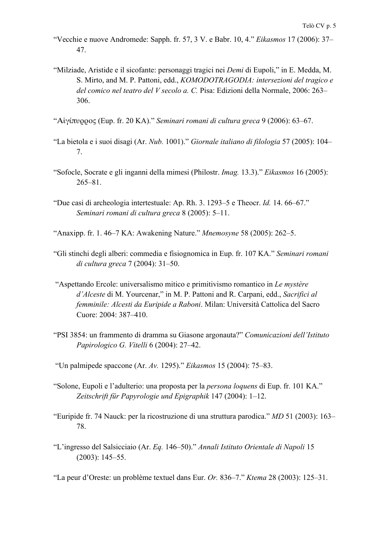- "Vecchie e nuove Andromede: Sapph. fr. 57, 3 V. e Babr. 10, 4." *Eikasmos* 17 (2006): 37– 47.
- "Milziade, Aristide e il sicofante: personaggi tragici nei *Demi* di Eupoli," in E. Medda, M. S. Mirto, and M. P. Pattoni, edd., *KOMODOTRAGODIA: intersezioni del tragico e del comico nel teatro del V secolo a. C.* Pisa: Edizioni della Normale, 2006: 263– 306.
- "Αἰγίπυρρος (Eup. fr. 20 KA)." *Seminari romani di cultura greca* 9 (2006): 63–67.
- "La bietola e i suoi disagi (Ar. *Nub.* 1001)." *Giornale italiano di filologia* 57 (2005): 104– 7.
- "Sofocle, Socrate e gli inganni della mimesi (Philostr. *Imag.* 13.3)." *Eikasmos* 16 (2005): 265–81.
- "Due casi di archeologia intertestuale: Ap. Rh. 3. 1293–5 e Theocr. *Id.* 14. 66–67." *Seminari romani di cultura greca* 8 (2005): 5–11.
- "Anaxipp. fr. 1. 46–7 KA: Awakening Nature." *Mnemosyne* 58 (2005): 262–5.
- "Gli stinchi degli alberi: commedia e fisiognomica in Eup. fr. 107 KA." *Seminari romani di cultura greca* 7 (2004): 31–50.
- "Aspettando Ercole: universalismo mitico e primitivismo romantico in *Le mystère d'Alceste* di M. Yourcenar," in M. P. Pattoni and R. Carpani, edd., *Sacrifici al femminile: Alcesti da Euripide a Raboni*. Milan: Università Cattolica del Sacro Cuore: 2004: 387–410.
- "PSI 3854: un frammento di dramma su Giasone argonauta?" *Comunicazioni dell'Istituto Papirologico G. Vitelli* 6 (2004): 27–42.
- "Un palmipede spaccone (Ar. *Av.* 1295)." *Eikasmos* 15 (2004): 75–83.
- "Solone, Eupoli e l'adulterio: una proposta per la *persona loquens* di Eup. fr. 101 KA." *Zeitschrift für Papyrologie und Epigraphik* 147 (2004): 1–12.
- "Euripide fr. 74 Nauck: per la ricostruzione di una struttura parodica." *MD* 51 (2003): 163– 78.
- "L'ingresso del Salsicciaio (Ar. *Eq.* 146–50)." *Annali Istituto Orientale di Napoli* 15 (2003): 145–55.
- "La peur d'Oreste: un problème textuel dans Eur. *Or.* 836–7." *Ktema* 28 (2003): 125–31.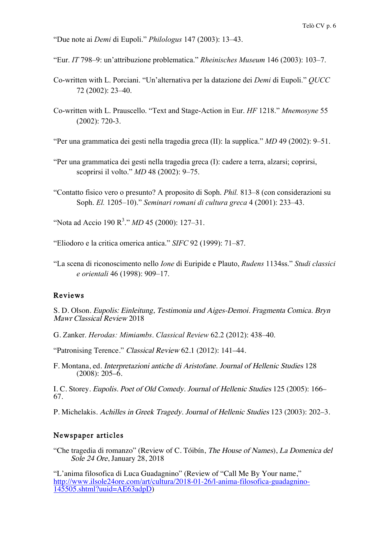"Due note ai *Demi* di Eupoli." *Philologus* 147 (2003): 13–43.

- "Eur. *IT* 798–9: un'attribuzione problematica." *Rheinisches Museum* 146 (2003): 103–7.
- Co-written with L. Porciani. "Un'alternativa per la datazione dei *Demi* di Eupoli." *QUCC* 72 (2002): 23–40.
- Co-written with L. Prauscello. "Text and Stage-Action in Eur. *HF* 1218." *Mnemosyne* 55 (2002): 720-3.

"Per una grammatica dei gesti nella tragedia greca (II): la supplica." *MD* 49 (2002): 9–51.

- "Per una grammatica dei gesti nella tragedia greca (I): cadere a terra, alzarsi; coprirsi, scoprirsi il volto." *MD* 48 (2002): 9–75.
- "Contatto fisico vero o presunto? A proposito di Soph. *Phil.* 813–8 (con considerazioni su Soph. *El.* 1205–10)." *Seminari romani di cultura greca* 4 (2001): 233–43.

"Nota ad Accio 190 R<sup>3</sup>." *MD* 45 (2000): 127–31.

"Eliodoro e la critica omerica antica." *SIFC* 92 (1999): 71–87.

"La scena di riconoscimento nello *Ione* di Euripide e Plauto, *Rudens* 1134ss." *Studi classici e orientali* 46 (1998): 909–17.

#### Reviews

S. D. Olson. Eupolis: Einleitung, Testimonia und Aiges-Demoi. Fragmenta Comica. Bryn Mawr Classical Review 2018

G. Zanker. *Herodas: Mimiambs*. *Classical Review* 62.2 (2012): 438–40.

"Patronising Terence." Classical Review 62.1 (2012): 141–44.

F. Montana, ed. Interpretazioni antiche di Aristofane. Journal of Hellenic Studies 128  $(2008): 205-\overline{6}.$ 

I. C. Storey. Eupolis. Poet of Old Comedy. Journal of Hellenic Studies 125 (2005): 166– 67.

P. Michelakis. Achilles in Greek Tragedy. Journal of Hellenic Studies 123 (2003): 202–3.

### Newspaper articles

"Che tragedia di romanzo" (Review of C. Tóibín, The House of Names), La Domenica del Sole 24 Ore, January 28, 2018

"L'anima filosofica di Luca Guadagnino" (Review of "Call Me By Your name," http://www.ilsole24ore.com/art/cultura/2018-01-26/l-anima-filosofica-guadagnino-145505.shtml?uuid=AE63adpD)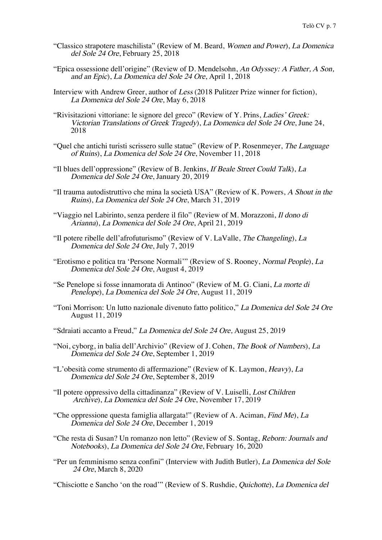- "Classico strapotere maschilista" (Review of M. Beard, Women and Power), La Domenica del Sole 24 Ore, February 25, 2018
- "Epica ossessione dell'origine" (Review of D. Mendelsohn, An Odyssey: A Father, A Son, and an Epic), La Domenica del Sole 24 Ore, April 1, 2018
- Interview with Andrew Greer, author of Less (2018 Pulitzer Prize winner for fiction), La Domenica del Sole 24 Ore, May 6, 2018
- "Rivisitazioni vittoriane: le signore del greco" (Review of Y. Prins, Ladies' Greek: Victorian Translations of Greek Tragedy), La Domenica del Sole 24 Ore, June 24, 2018
- "Quel che antichi turisti scrissero sulle statue" (Review of P. Rosenmeyer, The Language of Ruins), La Domenica del Sole 24 Ore, November 11, 2018
- "Il blues dell'oppressione" (Review of B. Jenkins, If Beale Street Could Talk), La Domenica del Sole 24 Ore, January 20, 2019
- "Il trauma autodistruttivo che mina la società USA" (Review of K. Powers, A Shout in the Ruins), La Domenica del Sole 24 Ore, March 31, 2019
- "Viaggio nel Labirinto, senza perdere il filo" (Review of M. Morazzoni, Il dono di Arianna), La Domenica del Sole 24 Ore, April 21, 2019
- "Il potere ribelle dell'afrofuturismo" (Review of V. LaValle, The Changeling), La Domenica del Sole 24 Ore, July 7, 2019
- "Erotismo e politica tra 'Persone Normali'" (Review of S. Rooney, Normal People), La Domenica del Sole 24 Ore, August 4, 2019
- "Se Penelope si fosse innamorata di Antinoo" (Review of M. G. Ciani, La morte di Penelope), La Domenica del Sole 24 Ore, August 11, 2019
- "Toni Morrison: Un lutto nazionale divenuto fatto politico," La Domenica del Sole 24 Ore August 11, 2019
- "Sdraiati accanto a Freud," La Domenica del Sole 24 Ore, August 25, 2019
- "Noi, cyborg, in balia dell'Archivio" (Review of J. Cohen, The Book of Numbers), La Domenica del Sole 24 Ore, September 1, 2019
- "L'obesità come strumento di affermazione" (Review of K. Laymon,  $Heavy$ ), La Domenica del Sole 24 Ore, September 8, 2019
- "Il potere oppressivo della cittadinanza" (Review of V. Luiselli, Lost Children Archive), La Domenica del Sole 24 Ore, November 17, 2019
- "Che oppressione questa famiglia allargata!" (Review of A. Aciman, Find Me), La Domenica del Sole 24 Ore, December 1, 2019
- "Che resta di Susan? Un romanzo non letto" (Review of S. Sontag, Reborn: Journals and Notebooks), La Domenica del Sole 24 Ore, February 16, 2020
- "Per un femminismo senza confini" (Interview with Judith Butler), La Domenica del Sole 24 Ore, March 8, 2020

"Chisciotte e Sancho 'on the road'" (Review of S. Rushdie, Quichotte), La Domenica del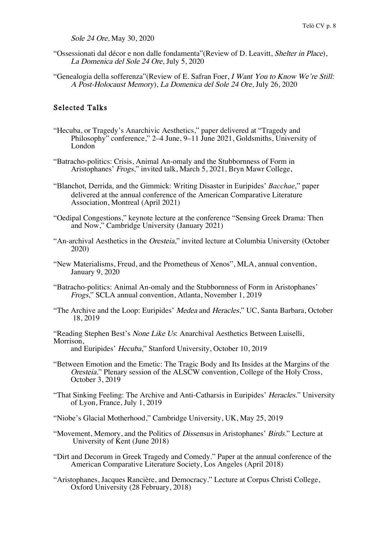Sole 24 Ore, May 30, 2020

- "Ossessionati dal décor e non dalle fondamenta"(Review of D. Leavitt, Shelter in Place), La Domenica del Sole 24 Ore, July 5, 2020
- "Genealogia della sofferenza"(Review of E. Safran Foer, I Want You to Know We're Still: A Post-Holocaust Memory), La Domenica del Sole 24 Ore, July 26, 2020

#### Selected Talks

- "Hecuba, or Tragedy's Anarchivic Aesthetics," paper delivered at "Tragedy and Philosophy" conference," 2–4 June, 9–11 June 2021, Goldsmiths, University of London
- "Batracho-politics: Crisis, Animal An-omaly and the Stubbornness of Form in Aristophanes' Frogs," invited talk, March 5, 2021, Bryn Mawr College,
- "Blanchot, Derrida, and the Gimmick: Writing Disaster in Euripides' *Bacchae*," paper delivered at the annual conference of the American Comparative Literature Association, Montreal (April 2021)
- "Oedipal Congestions," keynote lecture at the conference "Sensing Greek Drama: Then and Now," Cambridge University (January 2021)
- "An-archival Aesthetics in the *Oresteia*," invited lecture at Columbia University (October 2020)
- "New Materialisms, Freud, and the Prometheus of Xenos", MLA, annual convention, January 9, 2020
- "Batracho-politics: Animal An-omaly and the Stubbornness of Form in Aristophanes' Frogs," SCLA annual convention, Atlanta, November 1, 2019
- "The Archive and the Loop: Euripides' Medea and Heracles," UC, Santa Barbara, October 18, 2019
- "Reading Stephen Best's None Like Us: Anarchival Aesthetics Between Luiselli, Morrison.

and Euripides' Hecuba," Stanford University, October 10, 2019

- "Between Emotion and the Emetic: The Tragic Body and Its Insides at the Margins of the Oresteia." Plenary session of the ALSCW convention, College of the Holy Cross, October 3, 2019
- "That Sinking Feeling: The Archive and Anti-Catharsis in Euripides' Heracles." University of Lyon, France, July 1, 2019
- "Niobe's Glacial Motherhood," Cambridge University, UK, May 25, 2019
- "Movement, Memory, and the Politics of Dissensus in Aristophanes' Birds." Lecture at University of Kent (June 2018)
- "Dirt and Decorum in Greek Tragedy and Comedy." Paper at the annual conference of the American Comparative Literature Society, Los Angeles (April 2018)
- "Aristophanes, Jacques Rancière, and Democracy." Lecture at Corpus Christi College, Oxford University (28 February, 2018)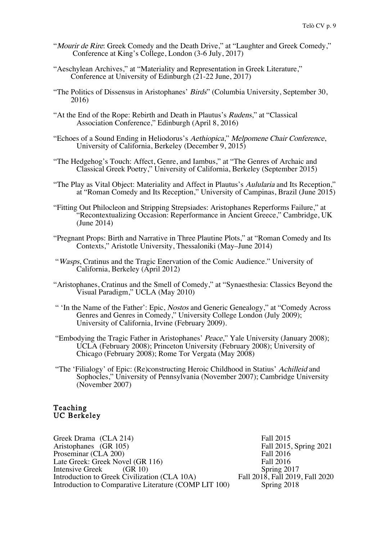- "Mourir de Rire: Greek Comedy and the Death Drive," at "Laughter and Greek Comedy," Conference at King's College, London (3-6 July, 2017)
- "Aeschylean Archives," at "Materiality and Representation in Greek Literature," Conference at University of Edinburgh (21-22 June, 2017)
- "The Politics of Dissensus in Aristophanes' Birds" (Columbia University, September 30, 2016)
- "At the End of the Rope: Rebirth and Death in Plautus's Rudens," at "Classical Association Conference," Edinburgh (April 8, 2016)
- "Echoes of a Sound Ending in Heliodorus's Aethiopica," Melpomene Chair Conference, University of California, Berkeley (December 9, 2015)
- "The Hedgehog's Touch: Affect, Genre, and Iambus," at "The Genres of Archaic and Classical Greek Poetry," University of California, Berkeley (September 2015)
- "The Play as Vital Object: Materiality and Affect in Plautus's Aulularia and Its Reception," at "Roman Comedy and Its Reception," University of Campinas, Brazil (June 2015)
- "Fitting Out Philocleon and Stripping Strepsiades: Aristophanes Reperforms Failure," at "Recontextualizing Occasion: Reperformance in Ancient Greece," Cambridge, UK (June 2014)
- "Pregnant Props: Birth and Narrative in Three Plautine Plots," at "Roman Comedy and Its Contexts," Aristotle University, Thessaloniki (May–June 2014)
- "Wasps, Cratinus and the Tragic Enervation of the Comic Audience." University of California, Berkeley (April 2012)
- "Aristophanes, Cratinus and the Smell of Comedy," at "Synaesthesia: Classics Beyond the Visual Paradigm," UCLA (May 2010)
- " 'In the Name of the Father': Epic, Nostos and Generic Genealogy," at "Comedy Across Genres and Genres in Comedy," University College London (July 2009); University of California, Irvine (February 2009).
- "Embodying the Tragic Father in Aristophanes' Peace," Yale University (January 2008); UCLA (February 2008); Princeton University (February 2008); University of Chicago (February 2008); Rome Tor Vergata (May 2008)
- "The 'Filialogy' of Epic: (Re)constructing Heroic Childhood in Statius' Achilleid and Sophocles," University of Pennsylvania (November 2007); Cambridge University (November 2007)

#### Teaching UC Berkeley

Greek Drama (CLA 214)<br>Aristophanes (GR 105) Fall 2015, Spring 2021 Aristophanes (GR 105)<br>
Proseminar (CLA 200)<br>
Fall 2016 Proseminar (CLA 200)<br>
Late Greek: Greek Novel (GR 116) Fall 2016 Late Greek: Greek Novel (GR 116) Fall 2016<br>Intensive Greek (GR 10) Spring 2017 Intensive Greek (GR 10)<br>Introduction to Greek Civilization (CLA 10A) Fall 2018, Fall 2019, Fall 2020 Introduction to Greek Civilization (CLA 10A) Fall 2018, Fall 2019<br>Introduction to Comparative Literature (COMP LIT 100) Spring 2018 Introduction to Comparative Literature (COMP LIT 100)